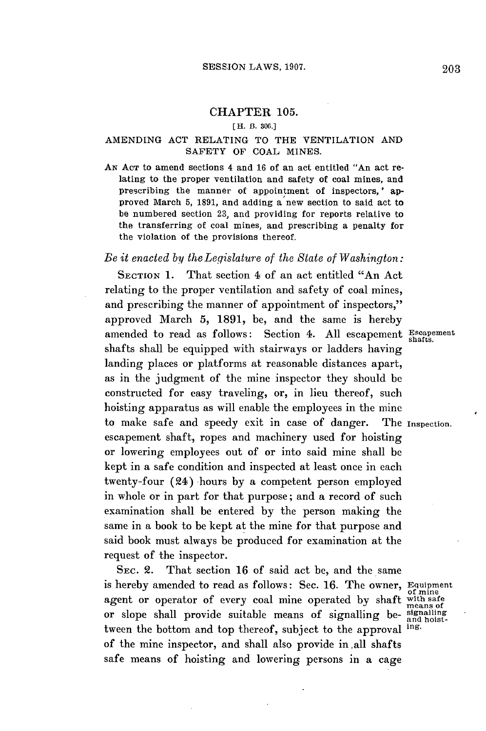# **CHAPTER 105.**

#### **[** H. B. **306.]**

### AMENDING **ACT** RELATING TO THE VENTILATION **AND SAFETY OF COAL MINES.**

**AN ACT** to amend sections 4 and **16** of an act entitled "An act relating to the proper ventilation and safety of coal mines, and prescribing the manner of appointment of inspectors,' approved March **5, 1891,** and adding a new section to said act to be numbered section **23,** and providing for reports relative to the transferring of coal mines, and prescribing a penalty for the violation of the provisions thereof.

## *Be it enacted by theLegislature of the State of Washington:*

SECTION 1. That section 4 of an act entitled "An Act" relating to the proper ventilation and safety of coal mines, and prescribing the manner of appointment of inspectors," approved March **5, 1891,** be, and the same is hereby amended to read as follows: Section 4. All escapement Escapement shafts shall be equipped with stairways or ladders having landing places or platforms at reasonable distances apart, as in the judgment of the mine inspector they should **be** constructed for easy traveling, or, in lieu thereof, such hoisting apparatus as will enable the employees in the mine to make safe and speedy exit in case of danger. The Inspection. escapement shaft, ropes and machinery used for hoisting or lowering employees out of or into said mine shall be kept in a safe condition and inspected at least once in each twenty-four (24) hours **by** a competent person employed in whole or in part for that purpose; and a record of such examination shall be entered **by** the person making the same in a book to be kept at the mine for that purpose and said book must always be produced for examination at the request of the inspector.

**SEC.** 2. That section **16** of said act be, and the same is hereby amended to read as follows: Sec. **16.** The owner, Equipment agent or operator of every coal mine operated by shaft with safe or slope shall provide suitable means of signalling be- $\frac{\text{signaling}}{\text{and host}}$ <br>tween the bottom and ton thereof, subject to the annoual ing. tween the bottom and top thereof, subject to the approval of the mine inspector, and shall also provide in all shafts safe means of hoisting and lowering persons in a cage